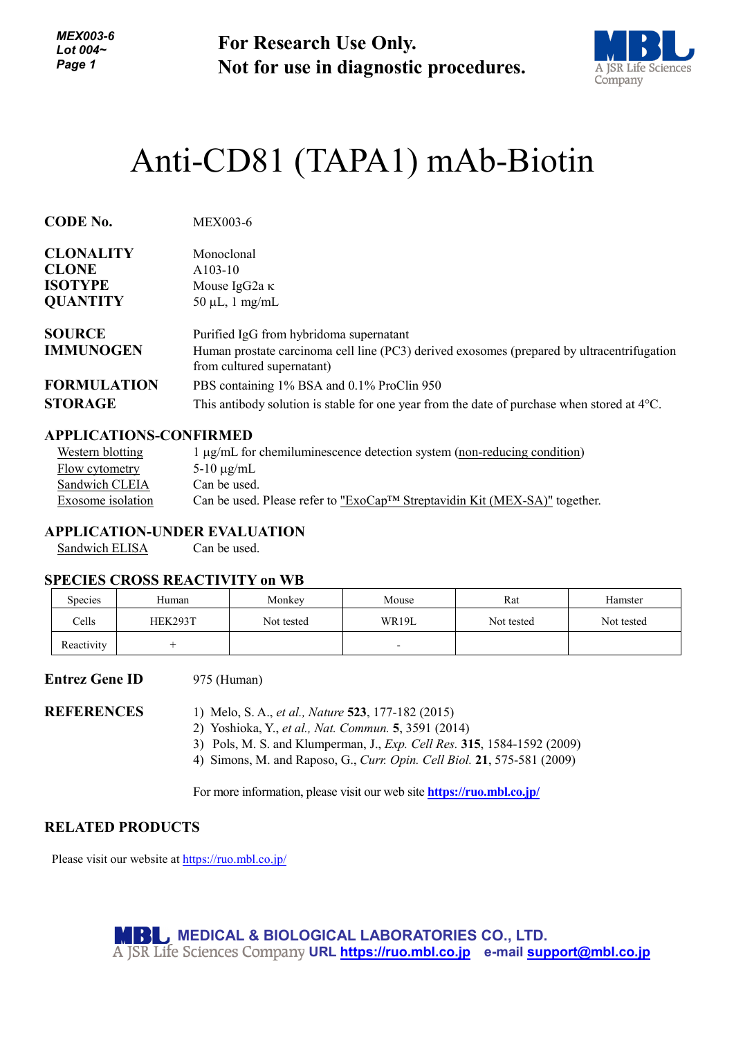*MEX003-6 Lot 004~ Page 1*

**For Research Use Only. Not for use in diagnostic procedures.**



# Anti-CD81 [\(TAPA1\) mAb-](http://ruo.mbl.co.jp/dtl/A/D252-5/)Biotin

| <b>CODE No.</b>                   | <b>MEX003-6</b>                                                                                                                                                     |
|-----------------------------------|---------------------------------------------------------------------------------------------------------------------------------------------------------------------|
| <b>CLONALITY</b>                  | Monoclonal                                                                                                                                                          |
| <b>CLONE</b>                      | $A103-10$                                                                                                                                                           |
| <b>ISOTYPE</b>                    | Mouse IgG2a $\kappa$                                                                                                                                                |
| <b>QUANTITY</b>                   | $50 \mu L$ , 1 mg/mL                                                                                                                                                |
| <b>SOURCE</b><br><b>IMMUNOGEN</b> | Purified IgG from hybridoma supernatant<br>Human prostate carcinoma cell line (PC3) derived exosomes (prepared by ultracentrifugation<br>from cultured supernatant) |
| <b>FORMULATION</b>                | PBS containing 1% BSA and 0.1% ProClin 950                                                                                                                          |
| <b>STORAGE</b>                    | This antibody solution is stable for one year from the date of purchase when stored at $4^{\circ}$ C.                                                               |

#### **APPLICATIONS-CONFIRMED**

| Western blotting  | $1 \mu$ g/mL for chemiluminescence detection system (non-reducing condition) |
|-------------------|------------------------------------------------------------------------------|
| Flow cytometry    | $5-10 \mu g/mL$                                                              |
| Sandwich CLEIA    | Can be used.                                                                 |
| Exosome isolation | Can be used. Please refer to "ExoCap™ Streptavidin Kit (MEX-SA)" together.   |

#### **APPLICATION-UNDER EVALUATION**

Sandwich ELISA Can be used.

# **SPECIES CROSS REACTIVITY on WB** Species | Human | Monkey | Mouse | Rat | Hamster Cells HEK293T Not tested WR19L Not tested Not tested Reactivity + -

**Entrez Gene ID** 975 (Human)

**REFERENCES** 1) Melo, S. A., *et al., Nature* **523**, 177-182 (2015)

2) Yoshioka, Y., *et al., Nat. Commun.* **5**, 3591 (2014)

3) Pols, M. S. and Klumperman, J., *Exp. Cell Res.* **315**, 1584-1592 (2009)

4) Simons, M. and Raposo, G., *Curr. Opin. Cell Biol.* **21**, 575-581 (2009)

For more information, please visit our web site **<https://ruo.mbl.co.jp/>**

#### **RELATED PRODUCTS**

Please visit our website at<https://ruo.mbl.co.jp/>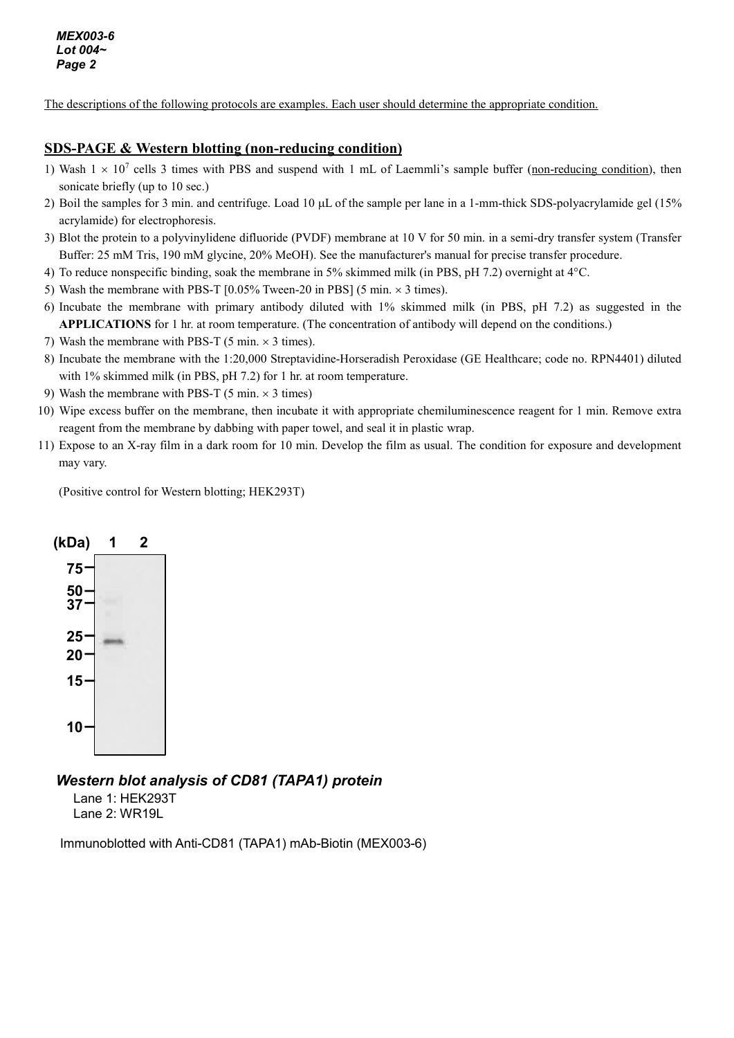The descriptions of the following protocols are examples. Each user should determine the appropriate condition.

#### **SDS-PAGE & Western blotting (non-reducing condition)**

- 1) Wash  $1 \times 10^7$  cells 3 times with PBS and suspend with 1 mL of Laemmli's sample buffer (non-reducing condition), then sonicate briefly (up to 10 sec.)
- 2) Boil the samples for 3 min. and centrifuge. Load 10 µL of the sample per lane in a 1-mm-thick SDS-polyacrylamide gel (15% acrylamide) for electrophoresis.
- 3) Blot the protein to a polyvinylidene difluoride (PVDF) membrane at 10 V for 50 min. in a semi-dry transfer system (Transfer Buffer: 25 mM Tris, 190 mM glycine, 20% MeOH). See the manufacturer's manual for precise transfer procedure.
- 4) To reduce nonspecific binding, soak the membrane in 5% skimmed milk (in PBS, pH 7.2) overnight at 4°C.
- 5) Wash the membrane with PBS-T  $[0.05\%$  Tween-20 in PBS $]$  (5 min.  $\times$  3 times).
- 6) Incubate the membrane with primary antibody diluted with 1% skimmed milk (in PBS, pH 7.2) as suggested in the **APPLICATIONS** for 1 hr. at room temperature. (The concentration of antibody will depend on the conditions.)
- 7) Wash the membrane with PBS-T (5 min.  $\times$  3 times).
- 8) Incubate the membrane with the 1:20,000 Streptavidine-Horseradish Peroxidase (GE Healthcare; code no. RPN4401) diluted with 1% skimmed milk (in PBS, pH 7.2) for 1 hr. at room temperature.
- 9) Wash the membrane with PBS-T (5 min.  $\times$  3 times)
- 10) Wipe excess buffer on the membrane, then incubate it with appropriate chemiluminescence reagent for 1 min. Remove extra reagent from the membrane by dabbing with paper towel, and seal it in plastic wrap.
- 11) Expose to an X-ray film in a dark room for 10 min. Develop the film as usual. The condition for exposure and development may vary.

(Positive control for Western blotting; HEK293T)



## *Western blot analysis of CD81 (TAPA1) protein*

Lane 1: HEK293T Lane 2: WR19L

Immunoblotted with Anti-CD81 (TAPA1) mAb-Biotin (MEX003-6)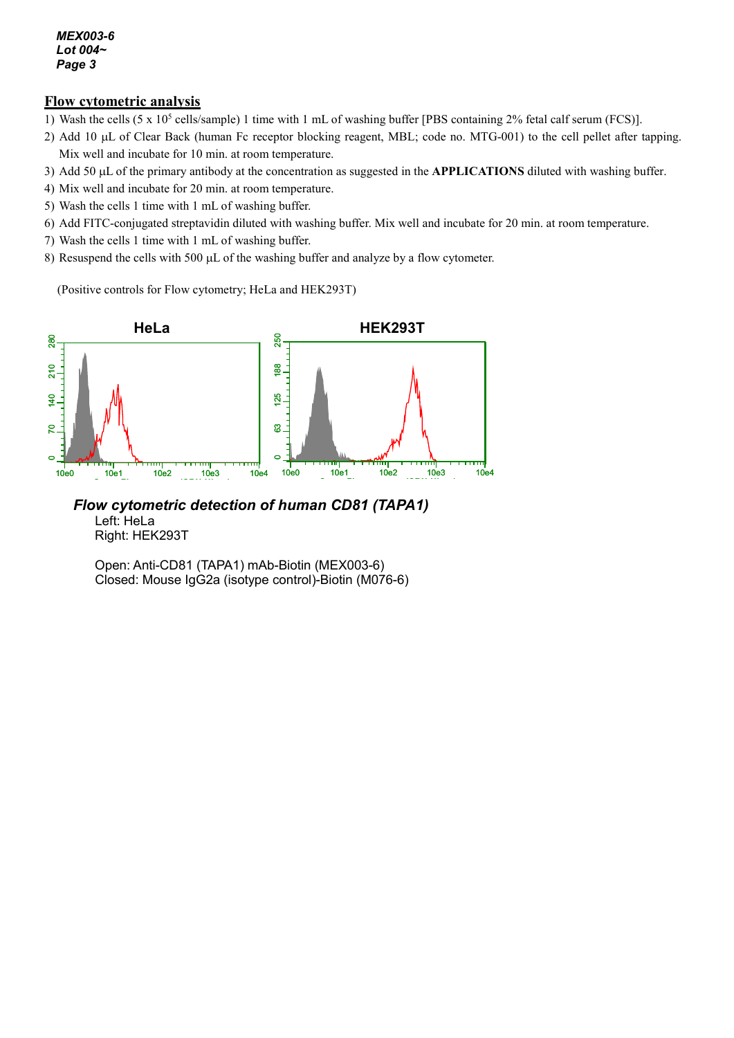#### *MEX003-6 Lot 004~ Page 3*

#### **Flow cytometric analysis**

- 1) Wash the cells  $(5 \times 10^5 \text{ cells/sample})$  1 time with 1 mL of washing buffer [PBS containing 2% fetal calf serum (FCS)].
- 2) Add 10 µL of Clear Back (human Fc receptor blocking reagent, MBL; code no. MTG-001) to the cell pellet after tapping. Mix well and incubate for 10 min. at room temperature.
- 3) Add 50 µL of the primary antibody at the concentration as suggested in the **APPLICATIONS** diluted with washing buffer.
- 4) Mix well and incubate for 20 min. at room temperature.
- 5) Wash the cells 1 time with 1 mL of washing buffer.
- 6) Add FITC-conjugated streptavidin diluted with washing buffer. Mix well and incubate for 20 min. at room temperature.
- 7) Wash the cells 1 time with 1 mL of washing buffer.
- 8) Resuspend the cells with 500 µL of the washing buffer and analyze by a flow cytometer.

(Positive controls for Flow cytometry; HeLa and HEK293T)



*Flow cytometric detection of human CD81 (TAPA1)* Left: HeLa Right: HEK293T

Open: Anti-CD81 (TAPA1) mAb-Biotin (MEX003-6) Closed: Mouse IgG2a (isotype control)-Biotin (M076-6)